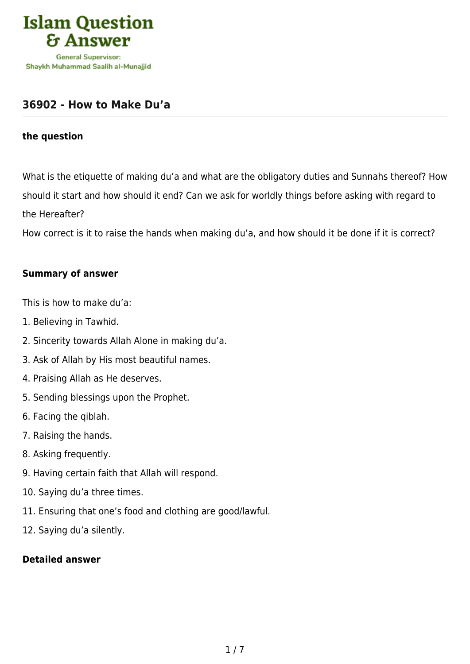

### **[36902 - How to Make Du'a](https://islamqa.com/en/answers/36902/how-to-make-dua)**

#### **the question**

What is the etiquette of making du'a and what are the obligatory duties and Sunnahs thereof? How should it start and how should it end? Can we ask for worldly things before asking with regard to the Hereafter?

How correct is it to raise the hands when making du'a, and how should it be done if it is correct?

#### **Summary of answer**

This is how to make du'a:

- 1. Believing in Tawhid.
- 2. Sincerity towards Allah Alone in making du'a.
- 3. Ask of Allah by His most beautiful names.
- 4. Praising Allah as He deserves.
- 5. Sending blessings upon the Prophet.
- 6. Facing the qiblah.
- 7. Raising the hands.
- 8. Asking frequently.
- 9. Having certain faith that Allah will respond.
- 10. Saying du'a three times.
- 11. Ensuring that one's food and clothing are good/lawful.
- 12. Saying du'a silently.

#### **Detailed answer**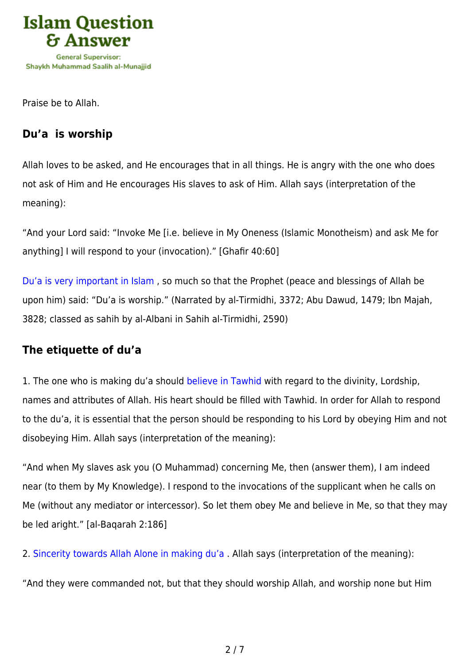

Praise be to Allah.

# **Du'a is worship**

Allah loves to be asked, and He encourages that in all things. He is angry with the one who does not ask of Him and He encourages His slaves to ask of Him. Allah says (interpretation of the meaning):

"And your Lord said: "Invoke Me [i.e. believe in My Oneness (Islamic Monotheism) and ask Me for anything] I will respond to your (invocation)." [Ghafir 40:60]

[Du'a is very important in Islam](https://islamqa.com/en/answers/320772) , so much so that the Prophet (peace and blessings of Allah be upon him) said: "Du'a is worship." (Narrated by al-Tirmidhi, 3372; Abu Dawud, 1479; Ibn Majah, 3828; classed as sahih by al-Albani in Sahih al-Tirmidhi, 2590)

## **The etiquette of du'a**

1. The one who is making du'a should [believe in Tawhid](https://islamqa.com/en/answers/10262) with regard to the divinity, Lordship, names and attributes of Allah. His heart should be filled with Tawhid. In order for Allah to respond to the du'a, it is essential that the person should be responding to his Lord by obeying Him and not disobeying Him. Allah says (interpretation of the meaning):

"And when My slaves ask you (O Muhammad) concerning Me, then (answer them), I am indeed near (to them by My Knowledge). I respond to the invocations of the supplicant when he calls on Me (without any mediator or intercessor). So let them obey Me and believe in Me, so that they may be led aright." [al-Baqarah 2:186]

2. [Sincerity towards Allah Alone in making du'a](https://islamqa.com/en/answers/11402) . Allah says (interpretation of the meaning):

"And they were commanded not, but that they should worship Allah, and worship none but Him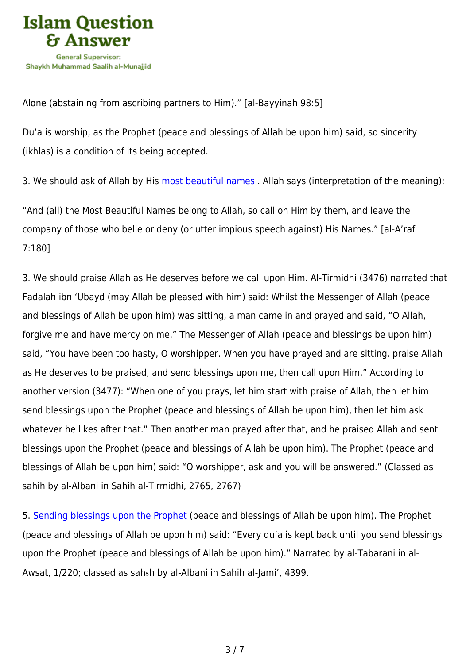

Alone (abstaining from ascribing partners to Him)." [al-Bayyinah 98:5]

Du'a is worship, as the Prophet (peace and blessings of Allah be upon him) said, so sincerity (ikhlas) is a condition of its being accepted.

3. We should ask of Allah by His [most beautiful names](https://islamqa.com/en/answers/188229) . Allah says (interpretation of the meaning):

"And (all) the Most Beautiful Names belong to Allah, so call on Him by them, and leave the company of those who belie or deny (or utter impious speech against) His Names." [al-A'raf 7:180]

3. We should praise Allah as He deserves before we call upon Him. Al-Tirmidhi (3476) narrated that Fadalah ibn 'Ubayd (may Allah be pleased with him) said: Whilst the Messenger of Allah (peace and blessings of Allah be upon him) was sitting, a man came in and prayed and said, "O Allah, forgive me and have mercy on me." The Messenger of Allah (peace and blessings be upon him) said, "You have been too hasty, O worshipper. When you have prayed and are sitting, praise Allah as He deserves to be praised, and send blessings upon me, then call upon Him." According to another version (3477): "When one of you prays, let him start with praise of Allah, then let him send blessings upon the Prophet (peace and blessings of Allah be upon him), then let him ask whatever he likes after that." Then another man prayed after that, and he praised Allah and sent blessings upon the Prophet (peace and blessings of Allah be upon him). The Prophet (peace and blessings of Allah be upon him) said: "O worshipper, ask and you will be answered." (Classed as sahih by al-Albani in Sahih al-Tirmidhi, 2765, 2767)

5. [Sending blessings upon the Prophet](https://islamqa.com/en/answers/20054) (peace and blessings of Allah be upon him). The Prophet (peace and blessings of Allah be upon him) said: "Every du'a is kept back until you send blessings upon the Prophet (peace and blessings of Allah be upon him)." Narrated by al-Tabarani in al-Awsat, 1/220; classed as sahهh by al-Albani in Sahih al-Jami', 4399.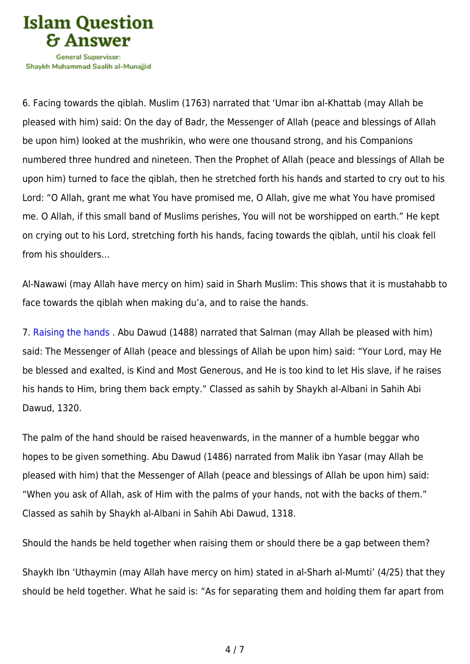

Shavkh Muhammad Saalih al-Munaiiid

6. Facing towards the qiblah. Muslim (1763) narrated that 'Umar ibn al-Khattab (may Allah be pleased with him) said: On the day of Badr, the Messenger of Allah (peace and blessings of Allah be upon him) looked at the mushrikin, who were one thousand strong, and his Companions numbered three hundred and nineteen. Then the Prophet of Allah (peace and blessings of Allah be upon him) turned to face the qiblah, then he stretched forth his hands and started to cry out to his Lord: "O Allah, grant me what You have promised me, O Allah, give me what You have promised me. O Allah, if this small band of Muslims perishes, You will not be worshipped on earth." He kept on crying out to his Lord, stretching forth his hands, facing towards the qiblah, until his cloak fell from his shoulders…

Al-Nawawi (may Allah have mercy on him) said in Sharh Muslim: This shows that it is mustahabb to face towards the qiblah when making du'a, and to raise the hands.

7. [Raising the hands](https://islamqa.com/en/answers/8594) . Abu Dawud (1488) narrated that Salman (may Allah be pleased with him) said: The Messenger of Allah (peace and blessings of Allah be upon him) said: "Your Lord, may He be blessed and exalted, is Kind and Most Generous, and He is too kind to let His slave, if he raises his hands to Him, bring them back empty." Classed as sahih by Shaykh al-Albani in Sahih Abi Dawud, 1320.

The palm of the hand should be raised heavenwards, in the manner of a humble beggar who hopes to be given something. Abu Dawud (1486) narrated from Malik ibn Yasar (may Allah be pleased with him) that the Messenger of Allah (peace and blessings of Allah be upon him) said: "When you ask of Allah, ask of Him with the palms of your hands, not with the backs of them." Classed as sahih by Shaykh al-Albani in Sahih Abi Dawud, 1318.

Should the hands be held together when raising them or should there be a gap between them?

Shaykh Ibn 'Uthaymin (may Allah have mercy on him) stated in al-Sharh al-Mumti' (4/25) that they should be held together. What he said is: "As for separating them and holding them far apart from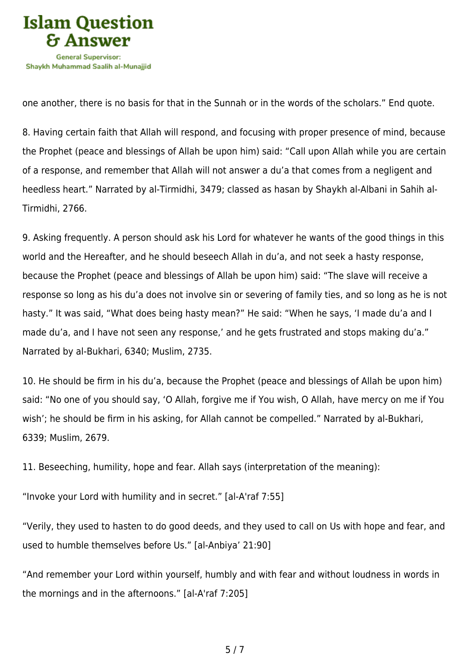

one another, there is no basis for that in the Sunnah or in the words of the scholars." End quote.

8. Having certain faith that Allah will respond, and focusing with proper presence of mind, because the Prophet (peace and blessings of Allah be upon him) said: "Call upon Allah while you are certain of a response, and remember that Allah will not answer a du'a that comes from a negligent and heedless heart." Narrated by al-Tirmidhi, 3479; classed as hasan by Shaykh al-Albani in Sahih al-Tirmidhi, 2766.

9. Asking frequently. A person should ask his Lord for whatever he wants of the good things in this world and the Hereafter, and he should beseech Allah in du'a, and not seek a hasty response, because the Prophet (peace and blessings of Allah be upon him) said: "The slave will receive a response so long as his du'a does not involve sin or severing of family ties, and so long as he is not hasty." It was said, "What does being hasty mean?" He said: "When he says, 'I made du'a and I made du'a, and I have not seen any response,' and he gets frustrated and stops making du'a." Narrated by al-Bukhari, 6340; Muslim, 2735.

10. He should be firm in his du'a, because the Prophet (peace and blessings of Allah be upon him) said: "No one of you should say, 'O Allah, forgive me if You wish, O Allah, have mercy on me if You wish'; he should be firm in his asking, for Allah cannot be compelled." Narrated by al-Bukhari, 6339; Muslim, 2679.

11. Beseeching, humility, hope and fear. Allah says (interpretation of the meaning):

"Invoke your Lord with humility and in secret." [al-A'raf 7:55]

"Verily, they used to hasten to do good deeds, and they used to call on Us with hope and fear, and used to humble themselves before Us." [al-Anbiya' 21:90]

"And remember your Lord within yourself, humbly and with fear and without loudness in words in the mornings and in the afternoons." [al-A'raf 7:205]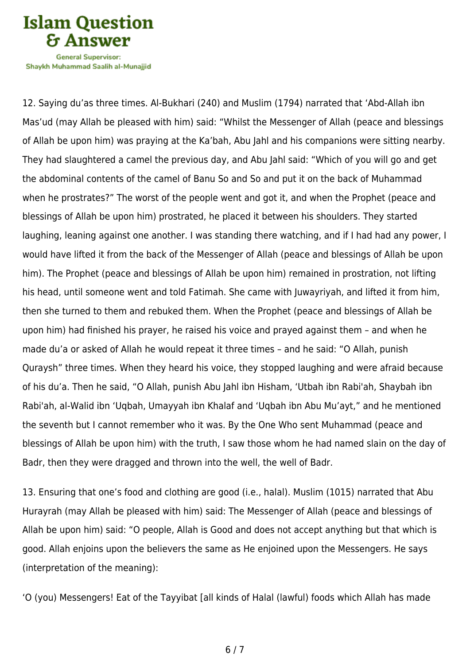**Islam Question General Supervisor:** 

Shavkh Muhammad Saalih al-Munaiiid

12. Saying du'as three times. Al-Bukhari (240) and Muslim (1794) narrated that 'Abd-Allah ibn Mas'ud (may Allah be pleased with him) said: "Whilst the Messenger of Allah (peace and blessings of Allah be upon him) was praying at the Ka'bah, Abu Jahl and his companions were sitting nearby. They had slaughtered a camel the previous day, and Abu Jahl said: "Which of you will go and get the abdominal contents of the camel of Banu So and So and put it on the back of Muhammad when he prostrates?" The worst of the people went and got it, and when the Prophet (peace and blessings of Allah be upon him) prostrated, he placed it between his shoulders. They started laughing, leaning against one another. I was standing there watching, and if I had had any power, I would have lifted it from the back of the Messenger of Allah (peace and blessings of Allah be upon him). The Prophet (peace and blessings of Allah be upon him) remained in prostration, not lifting his head, until someone went and told Fatimah. She came with Juwayriyah, and lifted it from him, then she turned to them and rebuked them. When the Prophet (peace and blessings of Allah be upon him) had finished his prayer, he raised his voice and prayed against them – and when he made du'a or asked of Allah he would repeat it three times – and he said: "O Allah, punish Quraysh" three times. When they heard his voice, they stopped laughing and were afraid because of his du'a. Then he said, "O Allah, punish Abu Jahl ibn Hisham, 'Utbah ibn Rabi'ah, Shaybah ibn Rabi'ah, al-Walid ibn 'Uqbah, Umayyah ibn Khalaf and 'Uqbah ibn Abu Mu'ayt," and he mentioned the seventh but I cannot remember who it was. By the One Who sent Muhammad (peace and blessings of Allah be upon him) with the truth, I saw those whom he had named slain on the day of Badr, then they were dragged and thrown into the well, the well of Badr.

13. Ensuring that one's food and clothing are good (i.e., halal). Muslim (1015) narrated that Abu Hurayrah (may Allah be pleased with him) said: The Messenger of Allah (peace and blessings of Allah be upon him) said: "O people, Allah is Good and does not accept anything but that which is good. Allah enjoins upon the believers the same as He enjoined upon the Messengers. He says (interpretation of the meaning):

'O (you) Messengers! Eat of the Tayyibat [all kinds of Halal (lawful) foods which Allah has made

6 / 7